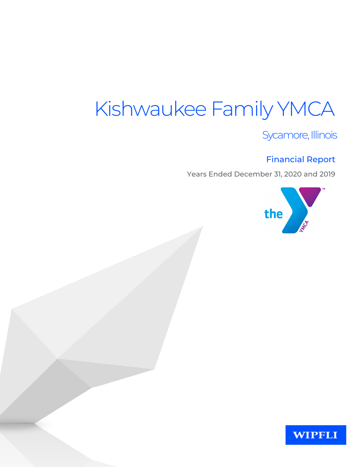# Sycamore, Illinois

# **Financial Report**

Years Ended December 31, 2020 and 2019



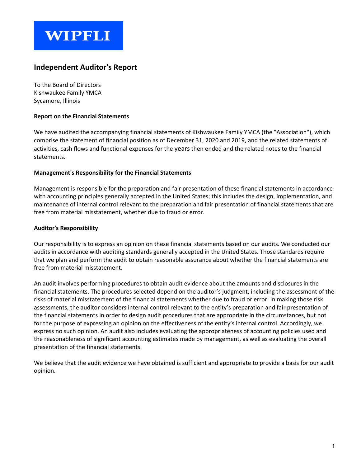# **WIPFLI**

# **Independent Auditor's Report**

To the Board of Directors Kishwaukee Family YMCA Sycamore, Illinois

#### **Report on the Financial Statements**

We have audited the accompanying financial statements of Kishwaukee Family YMCA (the "Association"), which comprise the statement of financial position as of December 31, 2020 and 2019, and the related statements of activities, cash flows and functional expenses for the years then ended and the related notes to the financial statements.

#### **Management's Responsibility for the Financial Statements**

Management is responsible for the preparation and fair presentation of these financial statements in accordance with accounting principles generally accepted in the United States; this includes the design, implementation, and maintenance of internal control relevant to the preparation and fair presentation of financial statements that are free from material misstatement, whether due to fraud or error.

#### **Auditor's Responsibility**

Our responsibility is to express an opinion on these financial statements based on our audits. We conducted our audits in accordance with auditing standards generally accepted in the United States. Those standards require that we plan and perform the audit to obtain reasonable assurance about whether the financial statements are free from material misstatement.

An audit involves performing procedures to obtain audit evidence about the amounts and disclosures in the financial statements. The procedures selected depend on the auditor's judgment, including the assessment of the risks of material misstatement of the financial statements whether due to fraud or error. In making those risk assessments, the auditor considers internal control relevant to the entity's preparation and fair presentation of the financial statements in order to design audit procedures that are appropriate in the circumstances, but not for the purpose of expressing an opinion on the effectiveness of the entity's internal control. Accordingly, we express no such opinion. An audit also includes evaluating the appropriateness of accounting policies used and the reasonableness of significant accounting estimates made by management, as well as evaluating the overall presentation of the financial statements.

We believe that the audit evidence we have obtained is sufficient and appropriate to provide a basis for our audit opinion.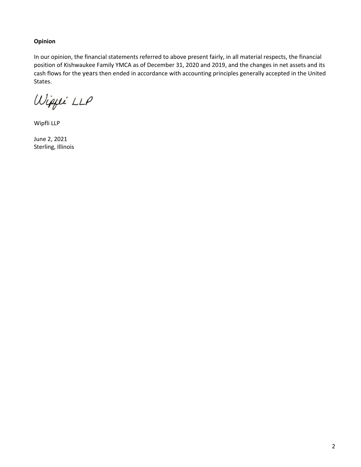#### **Opinion**

In our opinion, the financial statements referred to above present fairly, in all material respects, the financial position of Kishwaukee Family YMCA as of December 31, 2020 and 2019, and the changes in net assets and its cash flows for the years then ended in accordance with accounting principles generally accepted in the United States.

Wippei LLP

Wipfli LLP

June 2, 2021 Sterling, Illinois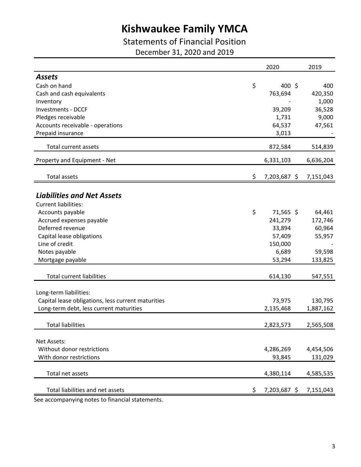Statements of Financial Position December 31, 2020 and 2019

|                                                    | 2020               | 2019      |
|----------------------------------------------------|--------------------|-----------|
| <b>Assets</b>                                      |                    |           |
| Cash on hand                                       | \$<br>400 \$       | 400       |
| Cash and cash equivalents                          | 763,694            | 420,350   |
| Inventory                                          |                    | 1,000     |
| <b>Investments - DCCF</b>                          | 39,209             | 36,528    |
| Pledges receivable                                 | 1,731              | 9,000     |
| Accounts receivable - operations                   | 64,537             | 47,561    |
| Prepaid insurance                                  | 3,013              |           |
| <b>Total current assets</b>                        | 872,584            | 514,839   |
| Property and Equipment - Net                       | 6,331,103          | 6,636,204 |
| Total assets                                       | \$<br>7,203,687 \$ | 7,151,043 |
|                                                    |                    |           |
| <b>Liabilities and Net Assets</b>                  |                    |           |
| <b>Current liabilities:</b>                        |                    |           |
| Accounts payable                                   | \$<br>71,565 \$    | 64,461    |
| Accrued expenses payable                           | 241,279            | 172,746   |
| Deferred revenue                                   | 33,894             | 60,964    |
| Capital lease obligations                          | 57,409             | 55,957    |
| Line of credit                                     | 150,000            |           |
| Notes payable                                      | 6,689              | 59,598    |
| Mortgage payable                                   | 53,294             | 133,825   |
|                                                    |                    |           |
| <b>Total current liabilities</b>                   | 614,130            | 547,551   |
| Long-term liabilities:                             |                    |           |
| Capital lease obligations, less current maturities | 73,975             | 130,795   |
| Long-term debt, less current maturities            | 2,135,468          | 1,887,162 |
|                                                    |                    |           |
| <b>Total liabilities</b>                           | 2,823,573          | 2,565,508 |
| Net Assets:                                        |                    |           |
| Without donor restrictions                         | 4,286,269          | 4,454,506 |
| With donor restrictions                            | 93,845             | 131,029   |
|                                                    |                    |           |
| Total net assets                                   | 4,380,114          | 4,585,535 |
| Total liabilities and net assets                   | \$<br>7,203,687 \$ | 7,151,043 |
| ta finanaial statement                             |                    |           |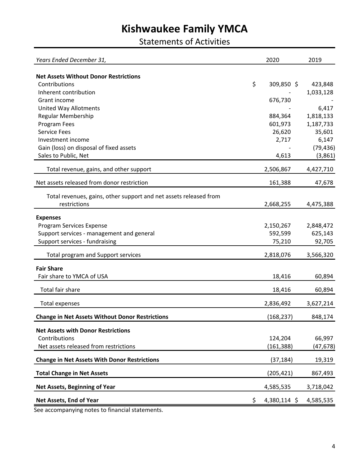Statements of Activities

| Years Ended December 31,                                          | 2020               | 2019      |
|-------------------------------------------------------------------|--------------------|-----------|
| <b>Net Assets Without Donor Restrictions</b>                      |                    |           |
| Contributions                                                     | \$<br>309,850 \$   | 423,848   |
| Inherent contribution                                             |                    | 1,033,128 |
| Grant income                                                      | 676,730            |           |
| <b>United Way Allotments</b>                                      |                    | 6,417     |
| Regular Membership                                                | 884,364            | 1,818,133 |
|                                                                   | 601,973            | 1,187,733 |
| Program Fees<br><b>Service Fees</b>                               |                    |           |
|                                                                   | 26,620             | 35,601    |
| Investment income                                                 | 2,717              | 6,147     |
| Gain (loss) on disposal of fixed assets                           |                    | (79, 436) |
| Sales to Public, Net                                              | 4,613              | (3,861)   |
| Total revenue, gains, and other support                           | 2,506,867          | 4,427,710 |
| Net assets released from donor restriction                        | 161,388            | 47,678    |
| Total revenues, gains, other support and net assets released from |                    |           |
| restrictions                                                      | 2,668,255          | 4,475,388 |
| <b>Expenses</b>                                                   |                    |           |
| Program Services Expense                                          | 2,150,267          | 2,848,472 |
| Support services - management and general                         | 592,599            | 625,143   |
| Support services - fundraising                                    | 75,210             | 92,705    |
| <b>Total program and Support services</b>                         | 2,818,076          | 3,566,320 |
| <b>Fair Share</b>                                                 |                    |           |
| Fair share to YMCA of USA                                         | 18,416             | 60,894    |
| Total fair share                                                  | 18,416             | 60,894    |
| <b>Total expenses</b>                                             | 2,836,492          | 3,627,214 |
| <b>Change in Net Assets Without Donor Restrictions</b>            | (168, 237)         | 848,174   |
| <b>Net Assets with Donor Restrictions</b>                         |                    |           |
| Contributions                                                     | 124,204            | 66,997    |
| Net assets released from restrictions                             | (161, 388)         | (47, 678) |
|                                                                   |                    |           |
| <b>Change in Net Assets With Donor Restrictions</b>               | (37, 184)          | 19,319    |
| <b>Total Change in Net Assets</b>                                 | (205, 421)         | 867,493   |
| Net Assets, Beginning of Year                                     | 4,585,535          | 3,718,042 |
| Net Assets, End of Year                                           | \$<br>4,380,114 \$ | 4,585,535 |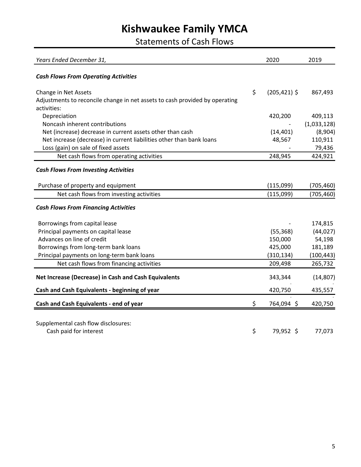Statements of Cash Flows

| Years Ended December 31,                                                    | 2020                  | 2019        |
|-----------------------------------------------------------------------------|-----------------------|-------------|
| <b>Cash Flows From Operating Activities</b>                                 |                       |             |
| Change in Net Assets                                                        | \$<br>$(205, 421)$ \$ | 867,493     |
| Adjustments to reconcile change in net assets to cash provided by operating |                       |             |
| activities:                                                                 |                       |             |
| Depreciation                                                                | 420,200               | 409,113     |
| Noncash inherent contributions                                              |                       | (1,033,128) |
| Net (increase) decrease in current assets other than cash                   | (14, 401)             | (8,904)     |
| Net increase (decrease) in current liabilities other than bank loans        | 48,567                | 110,911     |
| Loss (gain) on sale of fixed assets                                         |                       | 79,436      |
| Net cash flows from operating activities                                    | 248,945               | 424,921     |
| <b>Cash Flows From Investing Activities</b>                                 |                       |             |
| Purchase of property and equipment                                          | (115,099)             | (705, 460)  |
| Net cash flows from investing activities                                    | (115,099)             | (705, 460)  |
| <b>Cash Flows From Financing Activities</b>                                 |                       |             |
| Borrowings from capital lease                                               |                       | 174,815     |
| Principal payments on capital lease                                         | (55, 368)             | (44, 027)   |
| Advances on line of credit                                                  | 150,000               | 54,198      |
| Borrowings from long-term bank loans                                        | 425,000               | 181,189     |
| Principal payments on long-term bank loans                                  | (310, 134)            | (100, 443)  |
| Net cash flows from financing activities                                    | 209,498               | 265,732     |
| Net Increase (Decrease) in Cash and Cash Equivalents                        | 343,344               | (14, 807)   |
| Cash and Cash Equivalents - beginning of year                               | 420,750               | 435,557     |
| Cash and Cash Equivalents - end of year                                     | \$<br>764,094 \$      | 420,750     |
|                                                                             |                       |             |
| Supplemental cash flow disclosures:<br>Cash paid for interest               | \$<br>79,952 \$       | 77,073      |
|                                                                             |                       |             |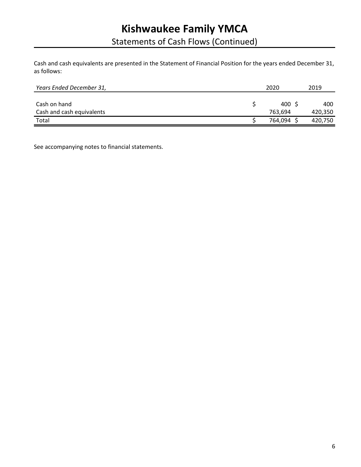Statements of Cash Flows (Continued)

Cash and cash equivalents are presented in the Statement of Financial Position for the years ended December 31, as follows:

| Years Ended December 31,  | 2020 |         |  | 2019    |  |
|---------------------------|------|---------|--|---------|--|
| Cash on hand              |      | 400     |  | 400     |  |
| Cash and cash equivalents |      | 763.694 |  | 420,350 |  |
| Total                     |      | 764,094 |  | 420,750 |  |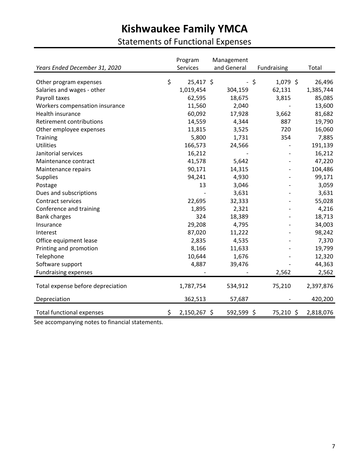Statements of Functional Expenses

|                                   | Program            | Management  |                    |           |
|-----------------------------------|--------------------|-------------|--------------------|-----------|
| Years Ended December 31, 2020     | Services           | and General | Fundraising        | Total     |
|                                   |                    |             |                    |           |
| Other program expenses            | \$<br>$25,417$ \$  |             | - \$<br>$1,079$ \$ | 26,496    |
| Salaries and wages - other        | 1,019,454          | 304,159     | 62,131             | 1,385,744 |
| Payroll taxes                     | 62,595             | 18,675      | 3,815              | 85,085    |
| Workers compensation insurance    | 11,560             | 2,040       |                    | 13,600    |
| Health insurance                  | 60,092             | 17,928      | 3,662              | 81,682    |
| <b>Retirement contributions</b>   | 14,559             | 4,344       | 887                | 19,790    |
| Other employee expenses           | 11,815             | 3,525       | 720                | 16,060    |
| <b>Training</b>                   | 5,800              | 1,731       | 354                | 7,885     |
| <b>Utilities</b>                  | 166,573            | 24,566      |                    | 191,139   |
| Janitorial services               | 16,212             |             |                    | 16,212    |
| Maintenance contract              | 41,578             | 5,642       |                    | 47,220    |
| Maintenance repairs               | 90,171             | 14,315      |                    | 104,486   |
| <b>Supplies</b>                   | 94,241             | 4,930       |                    | 99,171    |
| Postage                           | 13                 | 3,046       |                    | 3,059     |
| Dues and subscriptions            |                    | 3,631       |                    | 3,631     |
| Contract services                 | 22,695             | 32,333      |                    | 55,028    |
| Conference and training           | 1,895              | 2,321       |                    | 4,216     |
| <b>Bank charges</b>               | 324                | 18,389      |                    | 18,713    |
| Insurance                         | 29,208             | 4,795       |                    | 34,003    |
| Interest                          | 87,020             | 11,222      |                    | 98,242    |
| Office equipment lease            | 2,835              | 4,535       |                    | 7,370     |
| Printing and promotion            | 8,166              | 11,633      |                    | 19,799    |
| Telephone                         | 10,644             | 1,676       |                    | 12,320    |
| Software support                  | 4,887              | 39,476      |                    | 44,363    |
| <b>Fundraising expenses</b>       |                    |             | 2,562              | 2,562     |
| Total expense before depreciation | 1,787,754          | 534,912     | 75,210             | 2,397,876 |
| Depreciation                      | 362,513            | 57,687      |                    | 420,200   |
| <b>Total functional expenses</b>  | \$<br>2,150,267 \$ | 592,599 \$  | 75,210 \$          | 2,818,076 |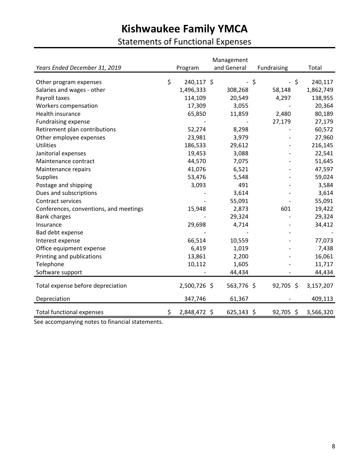# Statements of Functional Expenses

|                                        |    |              | Management               |             |           |           |  |
|----------------------------------------|----|--------------|--------------------------|-------------|-----------|-----------|--|
| Years Ended December 31, 2019          |    | Program      | and General              | Fundraising |           | Total     |  |
|                                        |    |              |                          |             |           |           |  |
| Other program expenses                 | \$ | 240,117 \$   | $\overline{\phantom{0}}$ | $\zeta$     | $-5$      | 240,117   |  |
| Salaries and wages - other             |    | 1,496,333    | 308,268                  |             | 58,148    | 1,862,749 |  |
| Payroll taxes                          |    | 114,109      | 20,549                   |             | 4,297     | 138,955   |  |
| Workers compensation                   |    | 17,309       | 3,055                    |             |           | 20,364    |  |
| Health insurance                       |    | 65,850       | 11,859                   |             | 2,480     | 80,189    |  |
| <b>Fundraising expense</b>             |    |              |                          |             | 27,179    | 27,179    |  |
| Retirement plan contributions          |    | 52,274       | 8,298                    |             |           | 60,572    |  |
| Other employee expenses                |    | 23,981       | 3,979                    |             |           | 27,960    |  |
| <b>Utilities</b>                       |    | 186,533      | 29,612                   |             |           | 216,145   |  |
| Janitorial expenses                    |    | 19,453       | 3,088                    |             |           | 22,541    |  |
| Maintenance contract                   |    | 44,570       | 7,075                    |             |           | 51,645    |  |
| Maintenance repairs                    |    | 41,076       | 6,521                    |             |           | 47,597    |  |
| <b>Supplies</b>                        |    | 53,476       | 5,548                    |             |           | 59,024    |  |
| Postage and shipping                   |    | 3,093        | 491                      |             |           | 3,584     |  |
| Dues and subscriptions                 |    |              | 3,614                    |             |           | 3,614     |  |
| Contract services                      |    |              | 55,091                   |             |           | 55,091    |  |
| Conferences, conventions, and meetings |    | 15,948       | 2,873                    |             | 601       | 19,422    |  |
| <b>Bank charges</b>                    |    |              | 29,324                   |             |           | 29,324    |  |
| Insurance                              |    | 29,698       | 4,714                    |             |           | 34,412    |  |
| Bad debt expense                       |    |              |                          |             |           |           |  |
| Interest expense                       |    | 66,514       | 10,559                   |             |           | 77,073    |  |
| Office equipment expense               |    | 6,419        | 1,019                    |             |           | 7,438     |  |
| Printing and publications              |    | 13,861       | 2,200                    |             |           | 16,061    |  |
| Telephone                              |    | 10,112       | 1,605                    |             |           | 11,717    |  |
| Software support                       |    |              | 44,434                   |             |           | 44,434    |  |
| Total expense before depreciation      |    | 2,500,726 \$ | 563,776 \$               |             | 92,705 \$ | 3,157,207 |  |
| Depreciation                           |    | 347,746      | 61,367                   |             |           | 409,113   |  |
| <b>Total functional expenses</b>       | Ś  | 2,848,472 \$ | $625,143$ \$             |             | 92,705 \$ | 3,566,320 |  |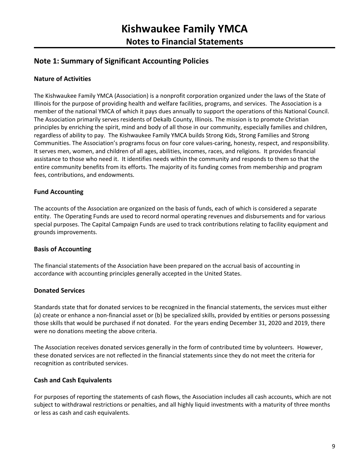# **Note 1: Summary of Significant Accounting Policies**

#### **Nature of Activities**

The Kishwaukee Family YMCA (Association) is a nonprofit corporation organized under the laws of the State of Illinois for the purpose of providing health and welfare facilities, programs, and services. The Association is a member of the national YMCA of which it pays dues annually to support the operations of this National Council. The Association primarily serves residents of Dekalb County, Illinois. The mission is to promote Christian principles by enriching the spirit, mind and body of all those in our community, especially families and children, regardless of ability to pay. The Kishwaukee Family YMCA builds Strong Kids, Strong Families and Strong Communities. The Association's programs focus on four core values-caring, honesty, respect, and responsibility. It serves men, women, and children of all ages, abilities, incomes, races, and religions. It provides financial assistance to those who need it. It identifies needs within the community and responds to them so that the entire community benefits from its efforts. The majority of its funding comes from membership and program fees, contributions, and endowments.

#### **Fund Accounting**

The accounts of the Association are organized on the basis of funds, each of which is considered a separate entity. The Operating Funds are used to record normal operating revenues and disbursements and for various special purposes. The Capital Campaign Funds are used to track contributions relating to facility equipment and grounds improvements.

#### **Basis of Accounting**

The financial statements of the Association have been prepared on the accrual basis of accounting in accordance with accounting principles generally accepted in the United States.

#### **Donated Services**

Standards state that for donated services to be recognized in the financial statements, the services must either (a) create or enhance a non-financial asset or (b) be specialized skills, provided by entities or persons possessing those skills that would be purchased if not donated. For the years ending December 31, 2020 and 2019, there were no donations meeting the above criteria.

The Association receives donated services generally in the form of contributed time by volunteers. However, these donated services are not reflected in the financial statements since they do not meet the criteria for recognition as contributed services.

#### **Cash and Cash Equivalents**

For purposes of reporting the statements of cash flows, the Association includes all cash accounts, which are not subject to withdrawal restrictions or penalties, and all highly liquid investments with a maturity of three months or less as cash and cash equivalents.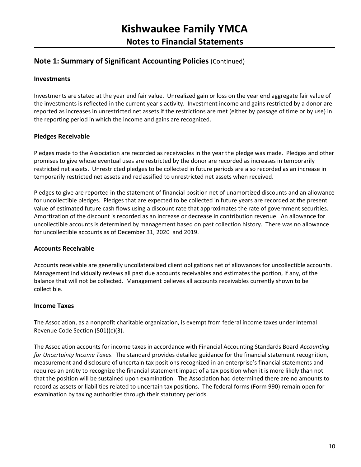#### **Investments**

Investments are stated at the year end fair value. Unrealized gain or loss on the year end aggregate fair value of the investments is reflected in the current year's activity. Investment income and gains restricted by a donor are reported as increases in unrestricted net assets if the restrictions are met (either by passage of time or by use) in the reporting period in which the income and gains are recognized.

### **Pledges Receivable**

Pledges made to the Association are recorded as receivables in the year the pledge was made. Pledges and other promises to give whose eventual uses are restricted by the donor are recorded as increases in temporarily restricted net assets. Unrestricted pledges to be collected in future periods are also recorded as an increase in temporarily restricted net assets and reclassified to unrestricted net assets when received.

Pledges to give are reported in the statement of financial position net of unamortized discounts and an allowance for uncollectible pledges. Pledges that are expected to be collected in future years are recorded at the present value of estimated future cash flows using a discount rate that approximates the rate of government securities. Amortization of the discount is recorded as an increase or decrease in contribution revenue. An allowance for uncollectible accounts is determined by management based on past collection history. There was no allowance for uncollectible accounts as of December 31, 2020 and 2019.

#### **Accounts Receivable**

Accounts receivable are generally uncollateralized client obligations net of allowances for uncollectible accounts. Management individually reviews all past due accounts receivables and estimates the portion, if any, of the balance that will not be collected. Management believes all accounts receivables currently shown to be collectible.

#### **Income Taxes**

The Association, as a nonprofit charitable organization, is exempt from federal income taxes under Internal Revenue Code Section (501)(c)(3).

The Association accounts for income taxes in accordance with Financial Accounting Standards Board *Accounting for Uncertainty Income Taxes*. The standard provides detailed guidance for the financial statement recognition, measurement and disclosure of uncertain tax positions recognized in an enterprise's financial statements and requires an entity to recognize the financial statement impact of a tax position when it is more likely than not that the position will be sustained upon examination. The Association had determined there are no amounts to record as assets or liabilities related to uncertain tax positions. The federal forms (Form 990) remain open for examination by taxing authorities through their statutory periods.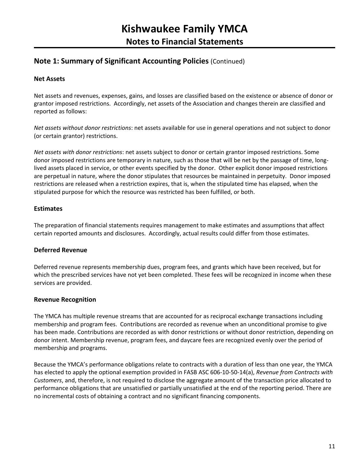#### **Net Assets**

Net assets and revenues, expenses, gains, and losses are classified based on the existence or absence of donor or grantor imposed restrictions. Accordingly, net assets of the Association and changes therein are classified and reported as follows:

*Net assets without donor restrictions*: net assets available for use in general operations and not subject to donor (or certain grantor) restrictions.

*Net assets with donor restrictions*: net assets subject to donor or certain grantor imposed restrictions. Some donor imposed restrictions are temporary in nature, such as those that will be net by the passage of time, longlived assets placed in service, or other events specified by the donor. Other explicit donor imposed restrictions are perpetual in nature, where the donor stipulates that resources be maintained in perpetuity. Donor imposed restrictions are released when a restriction expires, that is, when the stipulated time has elapsed, when the stipulated purpose for which the resource was restricted has been fulfilled, or both.

#### **Estimates**

The preparation of financial statements requires management to make estimates and assumptions that affect certain reported amounts and disclosures. Accordingly, actual results could differ from those estimates.

#### **Deferred Revenue**

Deferred revenue represents membership dues, program fees, and grants which have been received, but for which the prescribed services have not yet been completed. These fees will be recognized in income when these services are provided.

#### **Revenue Recognition**

The YMCA has multiple revenue streams that are accounted for as reciprocal exchange transactions including membership and program fees. Contributions are recorded as revenue when an unconditional promise to give has been made. Contributions are recorded as with donor restrictions or without donor restriction, depending on donor intent. Membership revenue, program fees, and daycare fees are recognized evenly over the period of membership and programs.

Because the YMCA's performance obligations relate to contracts with a duration of less than one year, the YMCA has elected to apply the optional exemption provided in FASB ASC 606-10-50-14(a), *Revenue from Contracts with Customers*, and, therefore, is not required to disclose the aggregate amount of the transaction price allocated to performance obligations that are unsatisfied or partially unsatisfied at the end of the reporting period. There are no incremental costs of obtaining a contract and no significant financing components.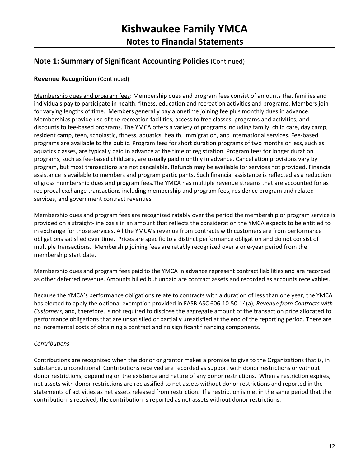#### **Revenue Recognition** (Continued)

Membership dues and program fees: Membership dues and program fees consist of amounts that families and individuals pay to participate in health, fitness, education and recreation activities and programs. Members join for varying lengths of time. Members generally pay a onetime joining fee plus monthly dues in advance. Memberships provide use of the recreation facilities, access to free classes, programs and activities, and discounts to fee-based programs. The YMCA offers a variety of programs including family, child care, day camp, resident camp, teen, scholastic, fitness, aquatics, health, immigration, and international services. Fee-based programs are available to the public. Program fees for short duration programs of two months or less, such as aquatics classes, are typically paid in advance at the time of registration. Program fees for longer duration programs, such as fee-based childcare, are usually paid monthly in advance. Cancellation provisions vary by program, but most transactions are not cancelable. Refunds may be available for services not provided. Financial assistance is available to members and program participants. Such financial assistance is reflected as a reduction of gross membership dues and program fees.The YMCA has multiple revenue streams that are accounted for as reciprocal exchange transactions including membership and program fees, residence program and related services, and government contract revenues

Membership dues and program fees are recognized ratably over the period the membership or program service is provided on a straight-line basis in an amount that reflects the consideration the YMCA expects to be entitled to in exchange for those services. All the YMCA's revenue from contracts with customers are from performance obligations satisfied over time. Prices are specific to a distinct performance obligation and do not consist of multiple transactions. Membership joining fees are ratably recognized over a one-year period from the membership start date.

Membership dues and program fees paid to the YMCA in advance represent contract liabilities and are recorded as other deferred revenue. Amounts billed but unpaid are contract assets and recorded as accounts receivables.

Because the YMCA's performance obligations relate to contracts with a duration of less than one year, the YMCA has elected to apply the optional exemption provided in FASB ASC 606-10-50-14(a), *Revenue from Contracts with Customers*, and, therefore, is not required to disclose the aggregate amount of the transaction price allocated to performance obligations that are unsatisfied or partially unsatisfied at the end of the reporting period. There are no incremental costs of obtaining a contract and no significant financing components.

#### *Contributions*

Contributions are recognized when the donor or grantor makes a promise to give to the Organizations that is, in substance, unconditional. Contributions received are recorded as support with donor restrictions or without donor restrictions, depending on the existence and nature of any donor restrictions. When a restriction expires, net assets with donor restrictions are reclassified to net assets without donor restrictions and reported in the statements of activities as net assets released from restriction. If a restriction is met in the same period that the contribution is received, the contribution is reported as net assets without donor restrictions.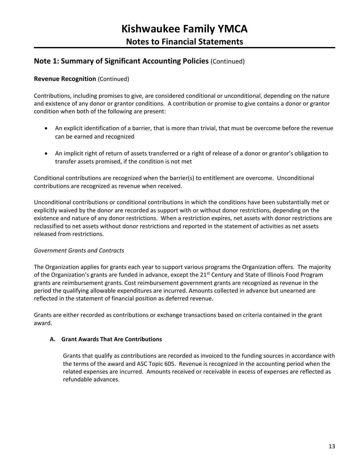#### **Revenue Recognition** (Continued)

Contributions, including promises to give, are considered conditional or unconditional, depending on the nature and existence of any donor or grantor conditions. A contribution or promise to give contains a donor or grantor condition when both of the following are present:

- An explicit identification of a barrier, that is more than trivial, that must be overcome before the revenue can be earned and recognized
- An implicit right of return of assets transferred or a right of release of a donor or grantor's obligation to transfer assets promised, if the condition is not met

Conditional contributions are recognized when the barrier(s) to entitlement are overcome. Unconditional contributions are recognized as revenue when received.

Unconditional contributions or conditional contributions in which the conditions have been substantially met or explicitly waived by the donor are recorded as support with or without donor restrictions, depending on the existence and nature of any donor restrictions. When a restriction expires, net assets with donor restrictions are reclassified to net assets without donor restrictions and reported in the statement of activities as net assets released from restrictions.

#### *Government Grants and Contracts*

The Organization applies for grants each year to support various programs the Organization offers. The majority of the Organization's grants are funded in advance, except the 21<sup>st</sup> Century and State of Illinois Food Program grants are reimbursement grants. Cost reimbursement government grants are recognized as revenue in the period the qualifying allowable expenditures are incurred. Amounts collected in advance but unearned are reflected in the statement of financial position as deferred revenue.

Grants are either recorded as contributions or exchange transactions based on criteria contained in the grant award.

#### **A. Grant Awards That Are Contributions**

Grants that qualify as contributions are recorded as invoiced to the funding sources in accordance with the terms of the award and ASC Topic 605. Revenue is recognized in the accounting period when the related expenses are incurred. Amounts received or receivable in excess of expenses are reflected as refundable advances.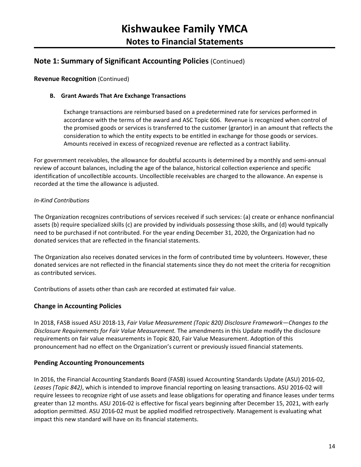#### **Revenue Recognition** (Continued)

#### **B. Grant Awards That Are Exchange Transactions**

Exchange transactions are reimbursed based on a predetermined rate for services performed in accordance with the terms of the award and ASC Topic 606. Revenue is recognized when control of the promised goods or services is transferred to the customer (grantor) in an amount that reflects the consideration to which the entity expects to be entitled in exchange for those goods or services. Amounts received in excess of recognized revenue are reflected as a contract liability.

For government receivables, the allowance for doubtful accounts is determined by a monthly and semi-annual review of account balances, including the age of the balance, historical collection experience and specific identification of uncollectible accounts. Uncollectible receivables are charged to the allowance. An expense is recorded at the time the allowance is adjusted.

#### *In-Kind Contributions*

The Organization recognizes contributions of services received if such services: (a) create or enhance nonfinancial assets (b) require specialized skills (c) are provided by individuals possessing those skills, and (d) would typically need to be purchased if not contributed. For the year ending December 31, 2020, the Organization had no donated services that are reflected in the financial statements.

The Organization also receives donated services in the form of contributed time by volunteers. However, these donated services are not reflected in the financial statements since they do not meet the criteria for recognition as contributed services.

Contributions of assets other than cash are recorded at estimated fair value.

#### **Change in Accounting Policies**

In 2018, FASB issued ASU 2018-13, *Fair Value Measurement (Topic 820) Disclosure Framework—Changes to the Disclosure Requirements for Fair Value Measurement.* The amendments in this Update modify the disclosure requirements on fair value measurements in Topic 820, Fair Value Measurement. Adoption of this pronouncement had no effect on the Organization's current or previously issued financial statements.

#### **Pending Accounting Pronouncements**

In 2016, the Financial Accounting Standards Board (FASB) issued Accounting Standards Update (ASU) 2016-02, *Leases (Topic 842)*, which is intended to improve financial reporting on leasing transactions. ASU 2016-02 will require lessees to recognize right of use assets and lease obligations for operating and finance leases under terms greater than 12 months. ASU 2016-02 is effective for fiscal years beginning after December 15, 2021, with early adoption permitted. ASU 2016-02 must be applied modified retrospectively. Management is evaluating what impact this new standard will have on its financial statements.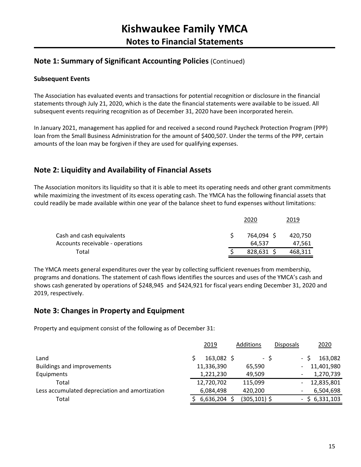#### **Subsequent Events**

The Association has evaluated events and transactions for potential recognition or disclosure in the financial statements through July 21, 2020, which is the date the financial statements were available to be issued. All subsequent events requiring recognition as of December 31, 2020 have been incorporated herein.

In January 2021, management has applied for and received a second round Paycheck Protection Program (PPP) loan from the Small Business Administration for the amount of \$400,507. Under the terms of the PPP, certain amounts of the loan may be forgiven if they are used for qualifying expenses.

# **Note 2: Liquidity and Availability of Financial Assets**

The Association monitors its liquidity so that it is able to meet its operating needs and other grant commitments while maximizing the investment of its excess operating cash. The YMCA has the following financial assets that could readily be made available within one year of the balance sheet to fund expenses without limitations:

|                                                               | 2020                 | 2019              |
|---------------------------------------------------------------|----------------------|-------------------|
| Cash and cash equivalents<br>Accounts receivable - operations | 764,094 \$<br>64.537 | 420.750<br>47,561 |
| Total                                                         | 828.631 S            | 468.311           |

The YMCA meets general expenditures over the year by collecting sufficient revenues from membership, programs and donations. The statement of cash flows identifies the sources and uses of the YMCA's cash and shows cash generated by operations of \$248,945 and \$424,921 for fiscal years ending December 31, 2020 and 2019, respectively.

# **Note 3: Changes in Property and Equipment**

Property and equipment consist of the following as of December 31:

|                                                | 2019       | Additions       | 2020<br><b>Disposals</b> |  |
|------------------------------------------------|------------|-----------------|--------------------------|--|
| Land                                           | 163,082 \$ | - S             | 163,082<br>- S           |  |
| <b>Buildings and improvements</b>              | 11,336,390 | 65,590          | 11,401,980               |  |
| Equipments                                     | 1,221,230  | 49.509          | 1,270,739                |  |
| Total                                          | 12,720,702 | 115,099         | 12,835,801               |  |
| Less accumulated depreciation and amortization | 6,084,498  | 420,200         | 6,504,698                |  |
| Total                                          | 6,636,204  | $(305, 101)$ \$ | $-$ \$ 6,331,103         |  |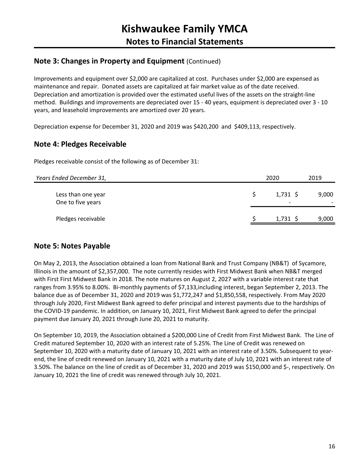# **Note 3: Changes in Property and Equipment** (Continued)

Improvements and equipment over \$2,000 are capitalized at cost. Purchases under \$2,000 are expensed as maintenance and repair. Donated assets are capitalized at fair market value as of the date received. Depreciation and amortization is provided over the estimated useful lives of the assets on the straight-line method. Buildings and improvements are depreciated over 15 - 40 years, equipment is depreciated over 3 - 10 years, and leasehold improvements are amortized over 20 years.

Depreciation expense for December 31, 2020 and 2019 was \$420,200 and \$409,113, respectively.

# **Note 4: Pledges Receivable**

Pledges receivable consist of the following as of December 31:

| Years Ended December 31,                | 2020                                   | 2019  |
|-----------------------------------------|----------------------------------------|-------|
| Less than one year<br>One to five years | $1,731$ \$<br>$\overline{\phantom{a}}$ | 9,000 |
| Pledges receivable                      | 1,731                                  | 9,000 |

# **Note 5: Notes Payable**

On May 2, 2013, the Association obtained a loan from National Bank and Trust Company (NB&T) of Sycamore, Illinois in the amount of \$2,357,000. The note currently resides with First Midwest Bank when NB&T merged with First First Midwest Bank in 2018. The note matures on August 2, 2027 with a variable interest rate that ranges from 3.95% to 8.00%. Bi-monthly payments of \$7,133,including interest, began September 2, 2013. The balance due as of December 31, 2020 and 2019 was \$1,772,247 and \$1,850,558, respectively. From May 2020 through July 2020, First Midwest Bank agreed to defer principal and interest payments due to the hardships of the COVID-19 pandemic. In addition, on January 10, 2021, First Midwest Bank agreed to defer the principal payment due January 20, 2021 through June 20, 2021 to maturity.

On September 10, 2019, the Association obtained a \$200,000 Line of Credit from First Midwest Bank. The Line of Credit matured September 10, 2020 with an interest rate of 5.25%. The Line of Credit was renewed on September 10, 2020 with a maturity date of January 10, 2021 with an interest rate of 3.50%. Subsequent to yearend, the line of credit renewed on January 10, 2021 with a maturity date of July 10, 2021 with an interest rate of 3.50%. The balance on the line of credit as of December 31, 2020 and 2019 was \$150,000 and \$-, respectively. On January 10, 2021 the line of credit was renewed through July 10, 2021.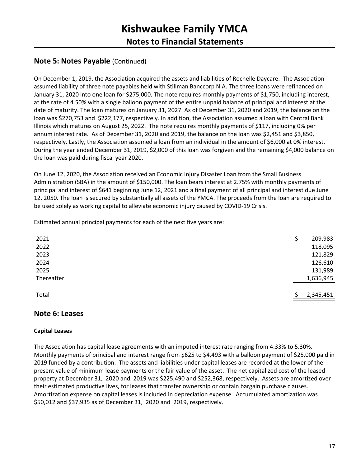# **Note 5: Notes Payable** (Continued)

On December 1, 2019, the Association acquired the assets and liabilities of Rochelle Daycare. The Association assumed liability of three note payables held with Stillman Banccorp N.A. The three loans were refinanced on January 31, 2020 into one loan for \$275,000. The note requires monthly payments of \$1,750, including interest, at the rate of 4.50% with a single balloon payment of the entire unpaid balance of principal and interest at the date of maturity. The loan matures on January 31, 2027. As of December 31, 2020 and 2019, the balance on the loan was \$270,753 and \$222,177, respectively. In addition, the Association assumed a loan with Central Bank Illinois which matures on August 25, 2022. The note requires monthly payments of \$117, including 0% per annum interest rate. As of December 31, 2020 and 2019, the balance on the loan was \$2,451 and \$3,850, respectively. Lastly, the Association assumed a loan from an individual in the amount of \$6,000 at 0% interest. During the year ended December 31, 2019, \$2,000 of this loan was forgiven and the remaining \$4,000 balance on the loan was paid during fiscal year 2020.

On June 12, 2020, the Association received an Economic Injury Disaster Loan from the Small Business Administration (SBA) in the amount of \$150,000. The loan bears interest at 2.75% with monthly payments of principal and interest of \$641 beginning June 12, 2021 and a final payment of all principal and interest due June 12, 2050. The loan is secured by substantially all assets of the YMCA. The proceeds from the loan are required to be used solely as working capital to alleviate economic injury caused by COVID-19 Crisis.

Estimated annual principal payments for each of the next five years are:

| 2021<br>2022 | \$<br>209,983<br>118,095 |
|--------------|--------------------------|
| 2023         | 121,829                  |
| 2024         | 126,610                  |
| 2025         | 131,989                  |
| Thereafter   | 1,636,945                |
| Total        | 2,345,451                |

# **Note 6: Leases**

#### **Capital Leases**

The Association has capital lease agreements with an imputed interest rate ranging from 4.33% to 5.30%. Monthly payments of principal and interest range from \$625 to \$4,493 with a balloon payment of \$25,000 paid in 2019 funded by a contribution. The assets and liabilities under capital leases are recorded at the lower of the present value of minimum lease payments or the fair value of the asset. The net capitalized cost of the leased property at December 31, 2020 and 2019 was \$225,490 and \$252,368, respectively. Assets are amortized over their estimated productive lives, for leases that transfer ownership or contain bargain purchase clauses. Amortization expense on capital leases is included in depreciation expense. Accumulated amortization was \$50,012 and \$37,935 as of December 31, 2020 and 2019, respectively.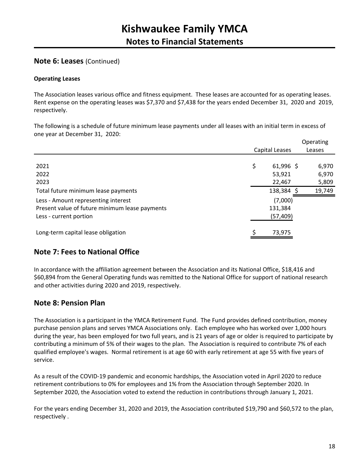# **Note 6: Leases** (Continued)

#### **Operating Leases**

The Association leases various office and fitness equipment. These leases are accounted for as operating leases. Rent expense on the operating leases was \$7,370 and \$7,438 for the years ended December 31, 2020 and 2019, respectively.

The following is a schedule of future minimum lease payments under all leases with an initial term in excess of one year at December 31, 2020:

|                                                |    | Capital Leases |  | Operating<br>Leases |
|------------------------------------------------|----|----------------|--|---------------------|
|                                                |    |                |  |                     |
| 2021                                           | \$ | $61,996$ \$    |  | 6,970               |
| 2022                                           |    | 53,921         |  | 6,970               |
| 2023                                           |    | 22,467         |  | 5,809               |
| Total future minimum lease payments            |    | 138,384 \$     |  | 19,749              |
| Less - Amount representing interest            |    | (7,000)        |  |                     |
| Present value of future minimum lease payments |    | 131,384        |  |                     |
| Less - current portion                         |    | (57, 409)      |  |                     |
|                                                |    |                |  |                     |
| Long-term capital lease obligation             | Ś  | 73,975         |  |                     |

# **Note 7: Fees to National Office**

In accordance with the affiliation agreement between the Association and its National Office, \$18,416 and \$60,894 from the General Operating funds was remitted to the National Office for support of national research and other activities during 2020 and 2019, respectively.

# **Note 8: Pension Plan**

The Association is a participant in the YMCA Retirement Fund. The Fund provides defined contribution, money purchase pension plans and serves YMCA Associations only. Each employee who has worked over 1,000 hours during the year, has been employed for two full years, and is 21 years of age or older is required to participate by contributing a minimum of 5% of their wages to the plan. The Association is required to contribute 7% of each qualified employee's wages. Normal retirement is at age 60 with early retirement at age 55 with five years of service.

As a result of the COVID-19 pandemic and economic hardships, the Association voted in April 2020 to reduce retirement contributions to 0% for employees and 1% from the Association through September 2020. In September 2020, the Association voted to extend the reduction in contributions through January 1, 2021.

For the years ending December 31, 2020 and 2019, the Association contributed \$19,790 and \$60,572 to the plan, respectively .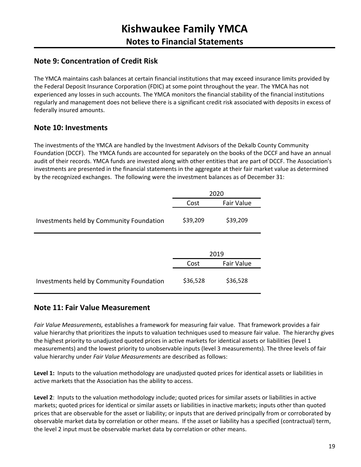# **Note 9: Concentration of Credit Risk**

The YMCA maintains cash balances at certain financial institutions that may exceed insurance limits provided by the Federal Deposit Insurance Corporation (FDIC) at some point throughout the year. The YMCA has not experienced any losses in such accounts. The YMCA monitors the financial stability of the financial institutions regularly and management does not believe there is a significant credit risk associated with deposits in excess of federally insured amounts.

# **Note 10: Investments**

The investments of the YMCA are handled by the Investment Advisors of the Dekalb County Community Foundation (DCCF). The YMCA funds are accounted for separately on the books of the DCCF and have an annual audit of their records. YMCA funds are invested along with other entities that are part of DCCF. The Association's investments are presented in the financial statements in the aggregate at their fair market value as determined by the recognized exchanges. The following were the investment balances as of December 31:

|                                          | 2020     |            |  |
|------------------------------------------|----------|------------|--|
|                                          | Cost     | Fair Value |  |
|                                          |          |            |  |
| Investments held by Community Foundation | \$39,209 | \$39,209   |  |

|                                          | 2019     |            |  |
|------------------------------------------|----------|------------|--|
|                                          | Cost     | Fair Value |  |
| Investments held by Community Foundation | \$36,528 | \$36,528   |  |

# **Note 11: Fair Value Measurement**

*Fair Value Measurements,* establishes a framework for measuring fair value. That framework provides a fair value hierarchy that prioritizes the inputs to valuation techniques used to measure fair value. The hierarchy gives the highest priority to unadjusted quoted prices in active markets for identical assets or liabilities (level 1 measurements) and the lowest priority to unobservable inputs (level 3 measurements). The three levels of fair value hierarchy under *Fair Value Measurements* are described as follows:

**Level 1:** Inputs to the valuation methodology are unadjusted quoted prices for identical assets or liabilities in active markets that the Association has the ability to access.

**Level 2**: Inputs to the valuation methodology include; quoted prices for similar assets or liabilities in active markets; quoted prices for identical or similar assets or liabilities in inactive markets; inputs other than quoted prices that are observable for the asset or liability; or inputs that are derived principally from or corroborated by observable market data by correlation or other means. If the asset or liability has a specified (contractual) term, the level 2 input must be observable market data by correlation or other means.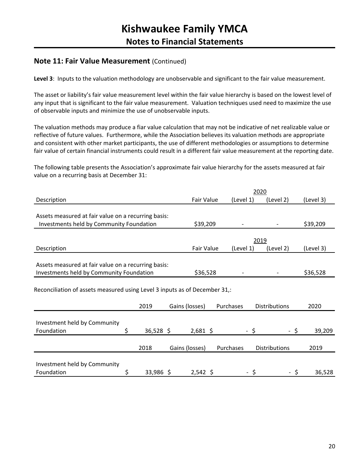# **Note 11: Fair Value Measurement** (Continued)

**Level 3**: Inputs to the valuation methodology are unobservable and significant to the fair value measurement.

The asset or liability's fair value measurement level within the fair value hierarchy is based on the lowest level of any input that is significant to the fair value measurement. Valuation techniques used need to maximize the use of observable inputs and minimize the use of unobservable inputs.

The valuation methods may produce a fiar value calculation that may not be indicative of net realizable value or reflective of future values. Furthermore, while the Association believes its valuation methods are appropriate and consistent with other market participants, the use of different methodologies or assumptions to determine fair value of certain financial instruments could result in a different fair value measurement at the reporting date.

The following table presents the Association's approximate fair value hierarchy for the assets measured at fair value on a recurring basis at December 31:

|                                                     | 2020       |           |           |           |  |
|-----------------------------------------------------|------------|-----------|-----------|-----------|--|
| Description                                         | Fair Value | (Level 1) | (Level 2) | (Level 3) |  |
|                                                     |            |           |           |           |  |
| Assets measured at fair value on a recurring basis: |            |           |           |           |  |
| Investments held by Community Foundation            | \$39,209   |           |           | \$39,209  |  |
|                                                     |            |           |           |           |  |
|                                                     |            | 2019      |           |           |  |
| Description                                         | Fair Value | (Level 1) | (Level 2) | (Level 3) |  |
|                                                     |            |           |           |           |  |
| Assets measured at fair value on a recurring basis: |            |           |           |           |  |
| Investments held by Community Foundation            | \$36,528   |           |           | \$36,528  |  |

Reconciliation of assets measured using Level 3 inputs as of December 31,:

|                              | 2019        | Gains (losses) | Purchases |      | <b>Distributions</b> |      | 2020   |
|------------------------------|-------------|----------------|-----------|------|----------------------|------|--------|
|                              |             |                |           |      |                      |      |        |
| Investment held by Community |             |                |           |      |                      |      |        |
| Foundation                   | $36,528$ \$ | $2,681$ \$     |           | - S  |                      | - S  | 39,209 |
|                              |             |                |           |      |                      |      |        |
|                              | 2018        | Gains (losses) | Purchases |      | <b>Distributions</b> |      | 2019   |
|                              |             |                |           |      |                      |      |        |
| Investment held by Community |             |                |           |      |                      |      |        |
| Foundation                   | 33,986      | $2,542$ \$     |           | - \$ |                      | - \$ | 36,528 |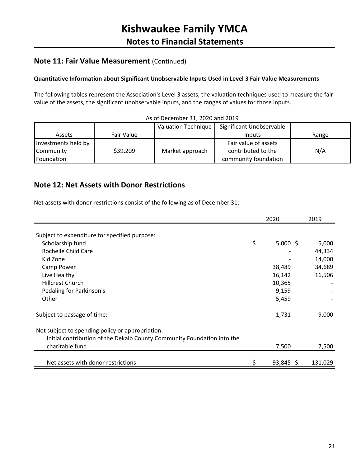# **Note 11: Fair Value Measurement** (Continued)

#### **Quantitative Information about Significant Unobservable Inputs Used in Level 3 Fair Value Measurements**

The following tables represent the Association's Level 3 assets, the valuation techniques used to measure the fair value of the assets, the significant unobservable inputs, and the ranges of values for those inputs.

|                     |            | Significant Unobservable<br>Valuation Technique |                      |       |  |
|---------------------|------------|-------------------------------------------------|----------------------|-------|--|
| Assets              | Fair Value |                                                 | Inputs               | Range |  |
| Investments held by |            |                                                 | Fair value of assets |       |  |
| <b>Community</b>    | \$39,209   | Market approach                                 | contributed to the   | N/A   |  |
| Foundation          |            |                                                 | community foundation |       |  |

As of December 31, 2020 and 2019

### **Note 12: Net Assets with Donor Restrictions**

Net assets with donor restrictions consist of the following as of December 31:

|                                                                                                                             | 2020              | 2019    |
|-----------------------------------------------------------------------------------------------------------------------------|-------------------|---------|
| Subject to expenditure for specified purpose:                                                                               |                   |         |
| Scholarship fund                                                                                                            | \$<br>$5,000$ \$  | 5,000   |
| <b>Rochelle Child Care</b>                                                                                                  |                   | 44,334  |
| Kid Zone                                                                                                                    |                   | 14,000  |
| Camp Power                                                                                                                  | 38,489            | 34,689  |
| Live Healthy                                                                                                                | 16,142            | 16,506  |
| <b>Hillcrest Church</b>                                                                                                     | 10,365            |         |
| Pedaling for Parkinson's                                                                                                    | 9,159             |         |
| Other                                                                                                                       | 5,459             |         |
| Subject to passage of time:                                                                                                 | 1,731             | 9,000   |
| Not subject to spending policy or appropriation:<br>Initial contribution of the Dekalb County Community Foundation into the |                   |         |
| charitable fund                                                                                                             | 7,500             | 7,500   |
| Net assets with donor restrictions                                                                                          | \$<br>$93,845$ \$ | 131,029 |